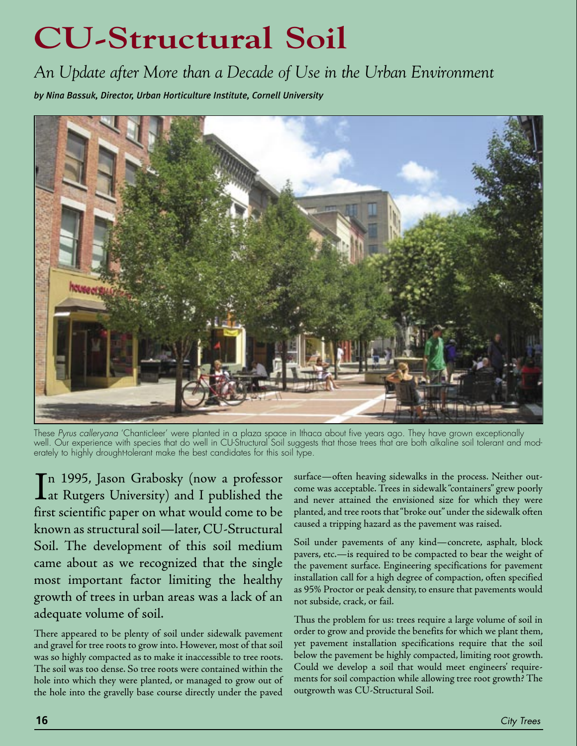# **CU-Structural Soil**

*An Update after More than a Decade of Use in the Urban Environment*

*by Nina Bassuk, Director, Urban Horticulture Institute, Cornell University*



These Pyrus calleryana 'Chanticleer' were planted in a plaza space in Ithaca about five years ago. They have grown exceptionally well. Our experience with species that do well in CU-Structural Soil suggests that those trees that are both alkaline soil tolerant and moderately to highly drought-tolerant make the best candidates for this soil type.

In 1995, Jason Grabosky (now a professor<br>Lat Rutgers University) and I published the at Rutgers University) and I published the first scientific paper on what would come to be known as structural soil—later, CU-Structural Soil. The development of this soil medium came about as we recognized that the single most important factor limiting the healthy growth of trees in urban areas was a lack of an adequate volume of soil.

There appeared to be plenty of soil under sidewalk pavement and gravel for tree roots to grow into. However, most of that soil was so highly compacted as to make it inaccessible to tree roots. The soil was too dense. So tree roots were contained within the hole into which they were planted, or managed to grow out of the hole into the gravelly base course directly under the paved

surface—often heaving sidewalks in the process. Neither outcome was acceptable. Trees in sidewalk "containers" grew poorly and never attained the envisioned size for which they were planted, and tree roots that "broke out" under the sidewalk often caused a tripping hazard as the pavement was raised.

Soil under pavements of any kind—concrete, asphalt, block pavers, etc.—is required to be compacted to bear the weight of the pavement surface. Engineering specifications for pavement installation call for a high degree of compaction, often specified as 95% Proctor or peak density, to ensure that pavements would not subside, crack, or fail.

Thus the problem for us: trees require a large volume of soil in order to grow and provide the benefits for which we plant them, yet pavement installation specifications require that the soil below the pavement be highly compacted, limiting root growth. Could we develop a soil that would meet engineers' requirements for soil compaction while allowing tree root growth? The outgrowth was CU-Structural Soil.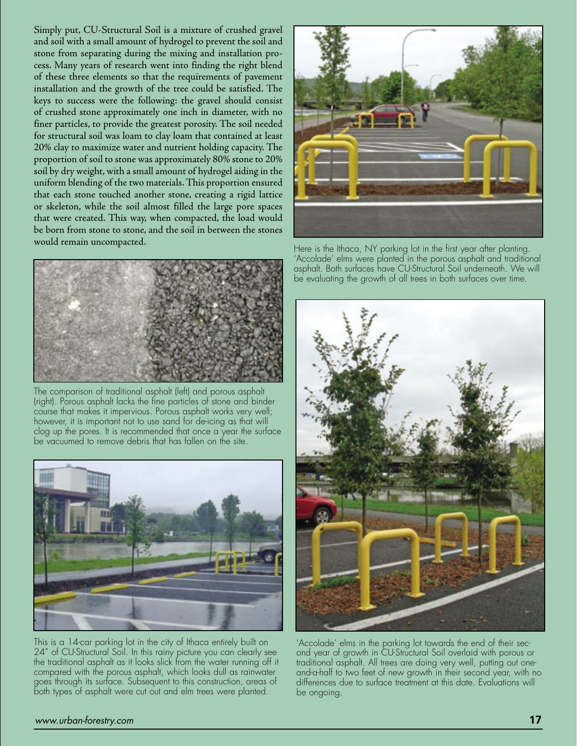Simply put, CU-Structural Soil is a mixture of crushed gravel and soil with a small amount of hydrogel to prevent the soil and stone from separating during the mixing and installation process. Many years of research went into finding the right blend of these three elements so that the requirements of pavement installation and the growth of the tree could be satisfied. The keys to success were the following: the gravel should consist of crushed stone approximately one inch in diameter, with no finer particles, to provide the greatest porosity. The soil needed for structural soil was loam to clay loam that contained at least 20% clay to maximize water and nutrient holding capacity. The proportion of soil to stone was approximately 80% stone to 20% soil by dry weight, with a small amount of hydrogel aiding in the uniform blending of the two materials. This proportion ensured that each stone touched another stone, creating a rigid lattice or skeleton, while the soil almost filled the large pore spaces that were created. This way, when compacted, the load would be born from stone to stone, and the soil in between the stones would remain uncompacted.



The comparison of traditional asphalt (left) and porous asphalt (right). Porous asphalt lacks the fine particles of stone and binder course that makes it impervious. Porous asphalt works very well; however, it is important not to use sand for de-icing as that will clog up the pores. It is recommended that once a year the surface be vacuumed to remove debris that has fallen on the site.



This is a 14-car parking lot in the city of Ithaca entirely built on 24" of CU-Structural Soil. In this rainy picture you can clearly see the traditional asphalt as it looks slick from the water running off it compared with the porous asphalt, which looks dull as rainwater goes through its surface. Subsequent to this construction, areas of both types of asphalt were cut out and elm trees were planted.



Here is the Ithaca, NY parking lot in the first year after planting. 'Accolade' elms were planted in the porous asphalt and traditional asphalt. Both surfaces have CU-Structural Soil underneath. We will be evaluating the growth of all trees in both surfaces over time.



'Accolade' elms in the parking lot towards the end of their second year of growth in CU-Structural Soil overlaid with porous or traditional asphalt. All trees are doing very well, putting out oneand-a-half to two feet of new growth in their second year, with no differences due to surface treatment at this date. Evaluations will be ongoing.

#### www.urban-forestry.com **17**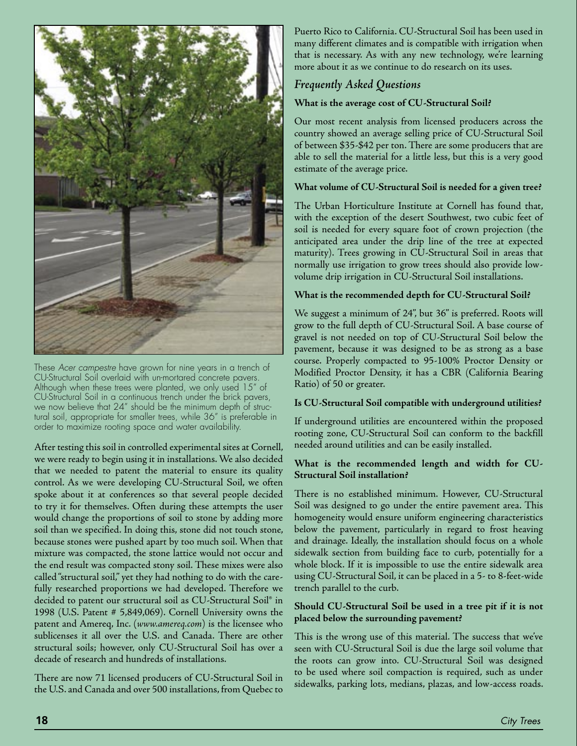

These Acer campestre have grown for nine years in a trench of CU-Structural Soil overlaid with un-mortared concrete pavers. Although when these trees were planted, we only used 15" of CU-Structural Soil in a continuous trench under the brick pavers, we now believe that 24" should be the minimum depth of structural soil, appropriate for smaller trees, while 36" is preferable in order to maximize rooting space and water availability.

After testing this soil in controlled experimental sites at Cornell, we were ready to begin using it in installations. We also decided that we needed to patent the material to ensure its quality control. As we were developing CU-Structural Soil, we often spoke about it at conferences so that several people decided to try it for themselves. Often during these attempts the user would change the proportions of soil to stone by adding more soil than we specified. In doing this, stone did not touch stone, because stones were pushed apart by too much soil. When that mixture was compacted, the stone lattice would not occur and the end result was compacted stony soil. These mixes were also called "structural soil," yet they had nothing to do with the carefully researched proportions we had developed. Therefore we decided to patent our structural soil as CU-Structural Soil® in 1998 (U.S. Patent # 5,849,069). Cornell University owns the patent and Amereq, Inc. (*www.amereq.com*) is the licensee who sublicenses it all over the U.S. and Canada. There are other structural soils; however, only CU-Structural Soil has over a decade of research and hundreds of installations.

There are now 71 licensed producers of CU-Structural Soil in the U.S. and Canada and over 500 installations, from Quebec to

Puerto Rico to California. CU-Structural Soil has been used in many different climates and is compatible with irrigation when that is necessary. As with any new technology, we're learning more about it as we continue to do research on its uses.

# *Frequently Asked Questions*

# **What is the average cost of CU-Structural Soil?**

Our most recent analysis from licensed producers across the country showed an average selling price of CU-Structural Soil of between \$35-\$42 per ton. There are some producers that are able to sell the material for a little less, but this is a very good estimate of the average price.

# **What volume of CU-Structural Soil is needed for a given tree?**

The Urban Horticulture Institute at Cornell has found that, with the exception of the desert Southwest, two cubic feet of soil is needed for every square foot of crown projection (the anticipated area under the drip line of the tree at expected maturity). Trees growing in CU-Structural Soil in areas that normally use irrigation to grow trees should also provide lowvolume drip irrigation in CU-Structural Soil installations.

# **What is the recommended depth for CU-Structural Soil?**

We suggest a minimum of 24", but 36" is preferred. Roots will grow to the full depth of CU-Structural Soil. A base course of gravel is not needed on top of CU-Structural Soil below the pavement, because it was designed to be as strong as a base course. Properly compacted to 95-100% Proctor Density or Modified Proctor Density, it has a CBR (California Bearing Ratio) of 50 or greater.

#### **Is CU-Structural Soil compatible with underground utilities?**

If underground utilities are encountered within the proposed rooting zone, CU-Structural Soil can conform to the backfill needed around utilities and can be easily installed.

#### **What is the recommended length and width for CU-Structural Soil installation?**

There is no established minimum. However, CU-Structural Soil was designed to go under the entire pavement area. This homogeneity would ensure uniform engineering characteristics below the pavement, particularly in regard to frost heaving and drainage. Ideally, the installation should focus on a whole sidewalk section from building face to curb, potentially for a whole block. If it is impossible to use the entire sidewalk area using CU-Structural Soil, it can be placed in a 5- to 8-feet-wide trench parallel to the curb.

#### **Should CU-Structural Soil be used in a tree pit if it is not placed below the surrounding pavement?**

This is the wrong use of this material. The success that we've seen with CU-Structural Soil is due the large soil volume that the roots can grow into. CU-Structural Soil was designed to be used where soil compaction is required, such as under sidewalks, parking lots, medians, plazas, and low-access roads.